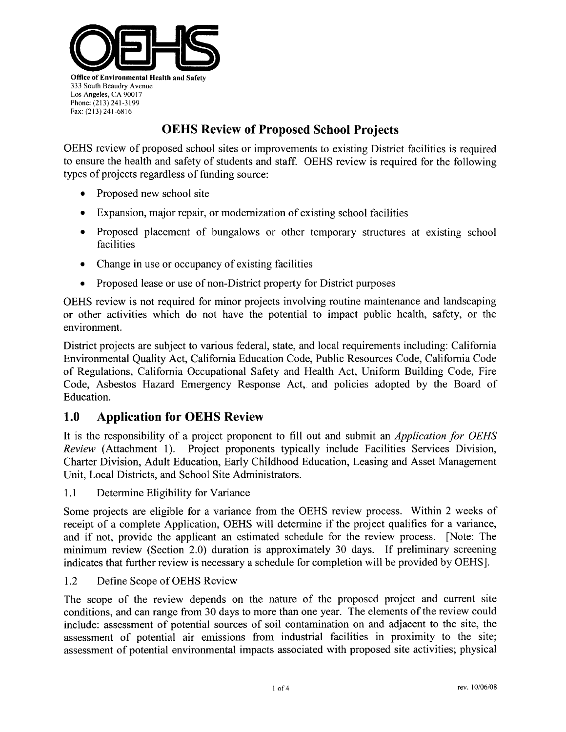

## **OEHS Review of Proposed School Projects**

OEHS review of proposed school sites or improvements to existing District facilities is required to ensure the health and safety of students and staff. OEHS review is required for the following types of projects regardless of funding source:

- Proposed new school site  $\bullet$
- Expansion, major repair, or modernization of existing school facilities  $\bullet$
- Proposed placement of bungalows or other temporary structures at existing school  $\bullet$ facilities
- Change in use or occupancy of existing facilities
- Proposed lease or use of non-District property for District purposes  $\bullet$

OEHS review is not required for minor projects involving routine maintenance and landscaping or other activities which do not have the potential to impact public health, safety, or the environment.

District projects are subject to various federal, state, and local requirements including: California Environmental Quality Act, California Education Code, Public Resources Code, California Code of Regulations, California Occupational Safety and Health Act, Uniform Building Code, Fire Code, Asbestos Hazard Emergency Response Act, and policies adopted by the Board of Education.

#### 1.0 **Application for OEHS Review**

It is the responsibility of a project proponent to fill out and submit an *Application for OEHS* Review (Attachment 1). Project proponents typically include Facilities Services Division, Charter Division, Adult Education, Early Childhood Education, Leasing and Asset Management Unit, Local Districts, and School Site Administrators.

 $1.1$ Determine Eligibility for Variance

Some projects are eligible for a variance from the OEHS review process. Within 2 weeks of receipt of a complete Application, OEHS will determine if the project qualifies for a variance, and if not, provide the applicant an estimated schedule for the review process. [Note: The minimum review (Section 2.0) duration is approximately 30 days. If preliminary screening indicates that further review is necessary a schedule for completion will be provided by OEHS.

 $1.2$ Define Scope of OEHS Review

The scope of the review depends on the nature of the proposed project and current site conditions, and can range from 30 days to more than one year. The elements of the review could include: assessment of potential sources of soil contamination on and adjacent to the site, the assessment of potential air emissions from industrial facilities in proximity to the site; assessment of potential environmental impacts associated with proposed site activities; physical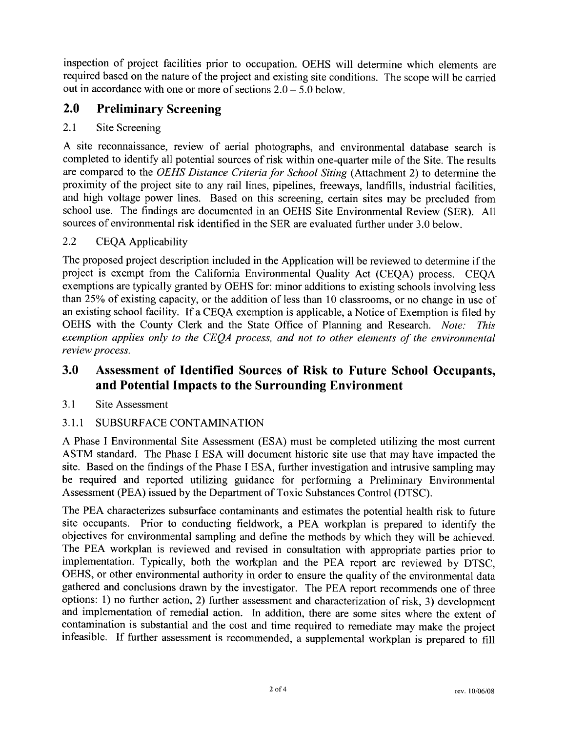inspection of project facilities prior to occupation. OEHS will determine which elements are required based on the nature of the project and existing site conditions. The scope will be carried out in accordance with one or more of sections  $2.0 - 5.0$  below.

#### $2.0$ **Preliminary Screening**

#### $2.1$ **Site Screening**

A site reconnaissance, review of aerial photographs, and environmental database search is completed to identify all potential sources of risk within one-quarter mile of the Site. The results are compared to the OEHS Distance Criteria for School Siting (Attachment 2) to determine the proximity of the project site to any rail lines, pipelines, freeways, landfills, industrial facilities, and high voltage power lines. Based on this screening, certain sites may be precluded from school use. The findings are documented in an OEHS Site Environmental Review (SER). All sources of environmental risk identified in the SER are evaluated further under 3.0 below.

#### $2.2$ **CEQA Applicability**

The proposed project description included in the Application will be reviewed to determine if the project is exempt from the California Environmental Quality Act (CEQA) process. CEQA exemptions are typically granted by OEHS for: minor additions to existing schools involving less than 25% of existing capacity, or the addition of less than 10 classrooms, or no change in use of an existing school facility. If a CEQA exemption is applicable, a Notice of Exemption is filed by OEHS with the County Clerk and the State Office of Planning and Research. Note: This exemption applies only to the CEQA process, and not to other elements of the environmental review process.

#### Assessment of Identified Sources of Risk to Future School Occupants, 3.0 and Potential Impacts to the Surrounding Environment

#### $3.1$ Site Assessment

#### $3.1.1$ SUBSURFACE CONTAMINATION

A Phase I Environmental Site Assessment (ESA) must be completed utilizing the most current ASTM standard. The Phase I ESA will document historic site use that may have impacted the site. Based on the findings of the Phase I ESA, further investigation and intrusive sampling may be required and reported utilizing guidance for performing a Preliminary Environmental Assessment (PEA) issued by the Department of Toxic Substances Control (DTSC).

The PEA characterizes subsurface contaminants and estimates the potential health risk to future site occupants. Prior to conducting fieldwork, a PEA workplan is prepared to identify the objectives for environmental sampling and define the methods by which they will be achieved. The PEA workplan is reviewed and revised in consultation with appropriate parties prior to implementation. Typically, both the workplan and the PEA report are reviewed by DTSC, OEHS, or other environmental authority in order to ensure the quality of the environmental data gathered and conclusions drawn by the investigator. The PEA report recommends one of three options: 1) no further action, 2) further assessment and characterization of risk, 3) development and implementation of remedial action. In addition, there are some sites where the extent of contamination is substantial and the cost and time required to remediate may make the project infeasible. If further assessment is recommended, a supplemental workplan is prepared to fill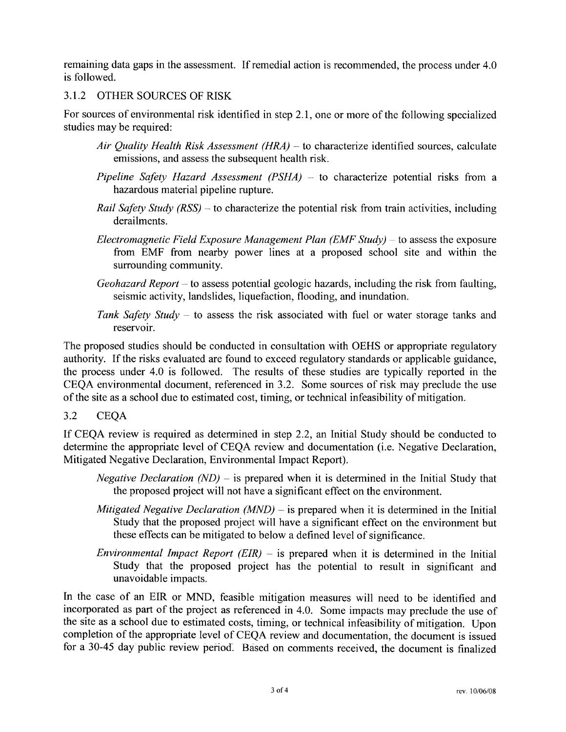remaining data gaps in the assessment. If remedial action is recommended, the process under 4.0 is followed.

### 3.1.2 OTHER SOURCES OF RISK

For sources of environmental risk identified in step 2.1, one or more of the following specialized studies may be required:

- Air Quality Health Risk Assessment (HRA) to characterize identified sources, calculate emissions, and assess the subsequent health risk.
- Pipeline Safety Hazard Assessment (PSHA) to characterize potential risks from a hazardous material pipeline rupture.
- *Rail Safety Study (RSS)* to characterize the potential risk from train activities, including derailments.
- Electromagnetic Field Exposure Management Plan (EMF Study) to assess the exposure from EMF from nearby power lines at a proposed school site and within the surrounding community.
- *Geohazard Report* to assess potential geologic hazards, including the risk from faulting, seismic activity, landslides, liquefaction, flooding, and inundation.
- Tank Safety Study to assess the risk associated with fuel or water storage tanks and reservoir.

The proposed studies should be conducted in consultation with OEHS or appropriate regulatory authority. If the risks evaluated are found to exceed regulatory standards or applicable guidance, the process under 4.0 is followed. The results of these studies are typically reported in the CEQA environmental document, referenced in 3.2. Some sources of risk may preclude the use of the site as a school due to estimated cost, timing, or technical infeasibility of mitigation.

 $3.2$ **CEOA** 

If CEQA review is required as determined in step 2.2, an Initial Study should be conducted to determine the appropriate level of CEQA review and documentation (i.e. Negative Declaration, Mitigated Negative Declaration, Environmental Impact Report).

- *Negative Declaration (ND)* is prepared when it is determined in the Initial Study that the proposed project will not have a significant effect on the environment.
- Mitigated Negative Declaration (MND) is prepared when it is determined in the Initial Study that the proposed project will have a significant effect on the environment but these effects can be mitigated to below a defined level of significance.
- Environmental Impact Report  $(EIR)$  is prepared when it is determined in the Initial Study that the proposed project has the potential to result in significant and unavoidable impacts.

In the case of an EIR or MND, feasible mitigation measures will need to be identified and incorporated as part of the project as referenced in 4.0. Some impacts may preclude the use of the site as a school due to estimated costs, timing, or technical infeasibility of mitigation. Upon completion of the appropriate level of CEQA review and documentation, the document is issued for a 30-45 day public review period. Based on comments received, the document is finalized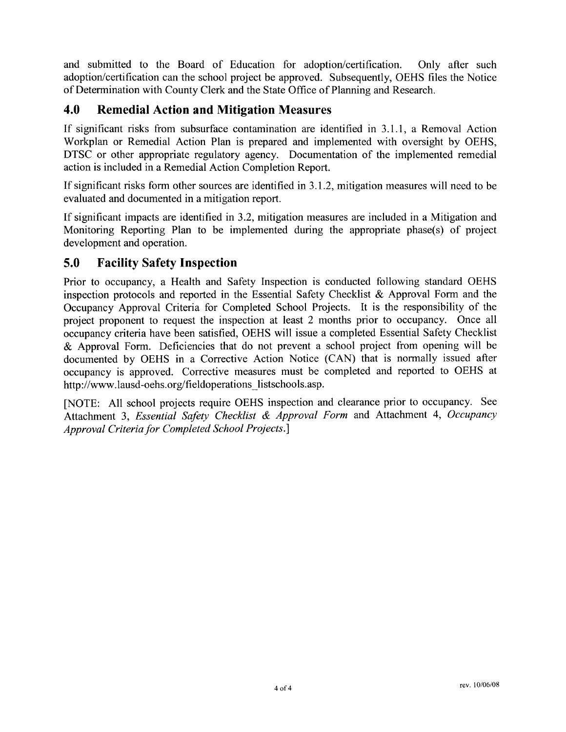and submitted to the Board of Education for adoption/certification. Only after such adoption/certification can the school project be approved. Subsequently, OEHS files the Notice of Determination with County Clerk and the State Office of Planning and Research.

#### 4.0 **Remedial Action and Mitigation Measures**

If significant risks from subsurface contamination are identified in 3.1.1, a Removal Action Workplan or Remedial Action Plan is prepared and implemented with oversight by OEHS, DTSC or other appropriate regulatory agency. Documentation of the implemented remedial action is included in a Remedial Action Completion Report.

If significant risks form other sources are identified in 3.1.2, mitigation measures will need to be evaluated and documented in a mitigation report.

If significant impacts are identified in 3.2, mitigation measures are included in a Mitigation and Monitoring Reporting Plan to be implemented during the appropriate phase(s) of project development and operation.

#### 5.0 **Facility Safety Inspection**

Prior to occupancy, a Health and Safety Inspection is conducted following standard OEHS inspection protocols and reported in the Essential Safety Checklist & Approval Form and the Occupancy Approval Criteria for Completed School Projects. It is the responsibility of the project proponent to request the inspection at least 2 months prior to occupancy. Once all occupancy criteria have been satisfied, OEHS will issue a completed Essential Safety Checklist & Approval Form. Deficiencies that do not prevent a school project from opening will be documented by OEHS in a Corrective Action Notice (CAN) that is normally issued after occupancy is approved. Corrective measures must be completed and reported to OEHS at http://www.lausd-oehs.org/fieldoperations listschools.asp.

[NOTE: All school projects require OEHS inspection and clearance prior to occupancy. See Attachment 3, Essential Safety Checklist & Approval Form and Attachment 4, Occupancy Approval Criteria for Completed School Projects.]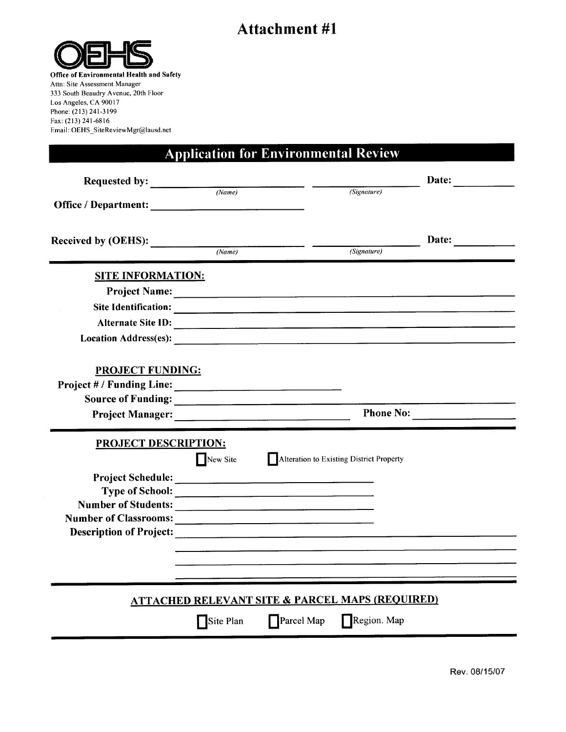# **Attachment #1**



Office of Environmental Health and Safety Attn: Site Assessment Manager 333 South Beaudry Avenue, 20th Floor Los Angeles, CA 90017 Phone: (213) 241-3199 Fax: (213) 241-6816 Email: OEHS\_SiteReviewMgr@lausd.net

# **Application for Environmental Review**

| Requested by: $\frac{Name}{Name}$                                                                                                                                                                                              |                     |                                                            |             | Date:     |
|--------------------------------------------------------------------------------------------------------------------------------------------------------------------------------------------------------------------------------|---------------------|------------------------------------------------------------|-------------|-----------|
|                                                                                                                                                                                                                                |                     |                                                            | (Signature) |           |
| Received by (OEHS):                                                                                                                                                                                                            | (Name)              |                                                            | (Signature) | Date:     |
| <b>SITE INFORMATION:</b>                                                                                                                                                                                                       |                     |                                                            |             |           |
|                                                                                                                                                                                                                                |                     |                                                            |             |           |
| Site Identification: and the contract of the state of the state of the state of the state of the state of the state of the state of the state of the state of the state of the state of the state of the state of the state of |                     |                                                            |             |           |
| Alternate Site ID:                                                                                                                                                                                                             |                     |                                                            |             |           |
| Location Address(es):                                                                                                                                                                                                          |                     |                                                            |             |           |
| <b>PROJECT FUNDING:</b>                                                                                                                                                                                                        |                     |                                                            |             |           |
| Project Manager:                                                                                                                                                                                                               |                     |                                                            |             | Phone No: |
| PROJECT DESCRIPTION:                                                                                                                                                                                                           |                     |                                                            |             |           |
|                                                                                                                                                                                                                                |                     | New Site Alteration to Existing District Property          |             |           |
| Type of School:<br>Description of Project:                                                                                                                                                                                     |                     |                                                            |             |           |
|                                                                                                                                                                                                                                |                     | <b>ATTACHED RELEVANT SITE &amp; PARCEL MAPS (REQUIRED)</b> |             |           |
|                                                                                                                                                                                                                                | $\bigcap$ Site Plan | Parcel Map                                                 | Region. Map |           |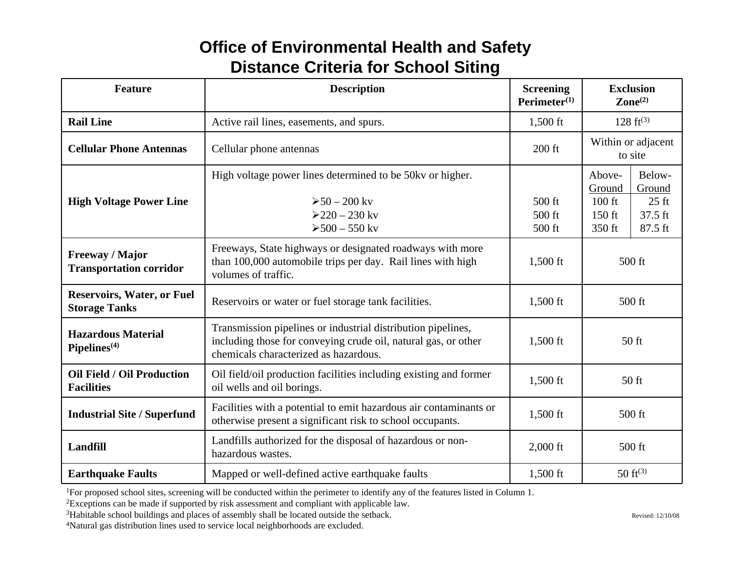# **Office of Environmental Health and Safety Distance Criteria for School Siting**

| <b>Feature</b>                                            | <b>Description</b>                                                                                                                                                      | <b>Screening</b><br>$Perimeter^{(1)}$ | <b>Exclusion</b><br>$\mathbf{Zone}^{(2)}$                                                                         |
|-----------------------------------------------------------|-------------------------------------------------------------------------------------------------------------------------------------------------------------------------|---------------------------------------|-------------------------------------------------------------------------------------------------------------------|
| <b>Rail Line</b>                                          | Active rail lines, easements, and spurs.                                                                                                                                | $1,500$ ft                            | $128 \text{ ft}^{(3)}$                                                                                            |
| <b>Cellular Phone Antennas</b>                            | Cellular phone antennas                                                                                                                                                 | 200 ft                                | Within or adjacent<br>to site                                                                                     |
| <b>High Voltage Power Line</b>                            | High voltage power lines determined to be 50kv or higher.<br>$>50-200$ ky<br>$>220 - 230$ ky<br>$>500 - 550$ kv                                                         | 500 ft<br>500 ft<br>500 ft            | Below-<br>Above-<br>Ground<br>Ground<br>$100$ ft<br>$25 \text{ ft}$<br>$37.5$ ft<br>$150$ ft<br>87.5 ft<br>350 ft |
| <b>Freeway / Major</b><br><b>Transportation corridor</b>  | Freeways, State highways or designated roadways with more<br>than 100,000 automobile trips per day. Rail lines with high<br>volumes of traffic.                         | 1,500 ft                              | $500$ ft                                                                                                          |
| <b>Reservoirs, Water, or Fuel</b><br><b>Storage Tanks</b> | Reservoirs or water or fuel storage tank facilities.                                                                                                                    | 1,500 ft                              | 500 ft                                                                                                            |
| <b>Hazardous Material</b><br>Pipelines <sup>(4)</sup>     | Transmission pipelines or industrial distribution pipelines,<br>including those for conveying crude oil, natural gas, or other<br>chemicals characterized as hazardous. | 1,500 ft                              | 50 ft                                                                                                             |
| <b>Oil Field / Oil Production</b><br><b>Facilities</b>    | Oil field/oil production facilities including existing and former<br>oil wells and oil borings.                                                                         | 1,500 ft                              | 50 ft                                                                                                             |
| <b>Industrial Site / Superfund</b>                        | Facilities with a potential to emit hazardous air contaminants or<br>otherwise present a significant risk to school occupants.                                          | 1,500 ft                              | 500 ft                                                                                                            |
| <b>Landfill</b>                                           | Landfills authorized for the disposal of hazardous or non-<br>hazardous wastes.                                                                                         | $2,000$ ft                            | 500 ft                                                                                                            |
| <b>Earthquake Faults</b>                                  | Mapped or well-defined active earthquake faults                                                                                                                         | $1,500$ ft                            | 50 $ft^{(3)}$                                                                                                     |

1For proposed school sites, screening will be conducted within the perimeter to identify any of the features listed in Column 1.

2Exceptions can be made if supported by risk assessment and compliant with applicable law.

3Habitable school buildings and places of assembly shall be located outside the setback.

<sup>4</sup>Natural gas distribution lines used to service local neighborhoods are excluded.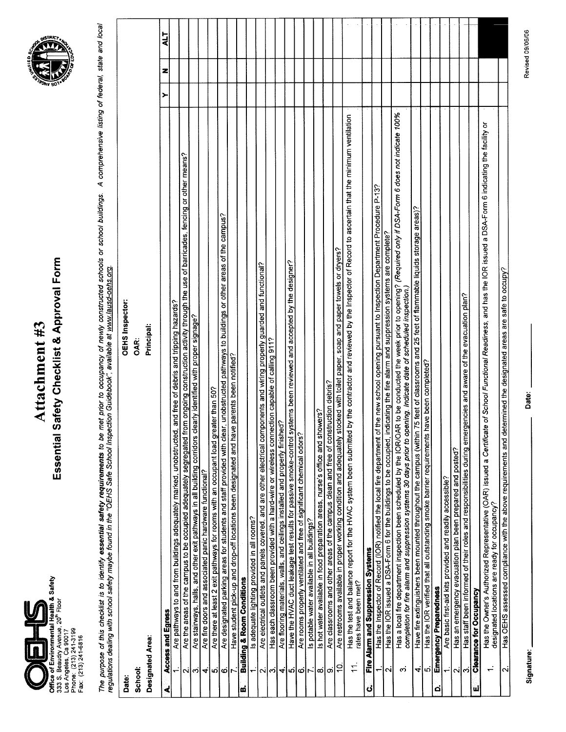

# Essential Safety Checklist & Approval Form Attachment #3



The purpose of this checklist is to identify **essential safety requirements** to be met prior to occupancy of newly constructed schools or school buildings. A comprehensive listing of federal, state and local<br>regulations de

| Date:                   | <b>OEHS Inspector:</b>                                                                                                                                                                                                                                                                    |   |   |     |
|-------------------------|-------------------------------------------------------------------------------------------------------------------------------------------------------------------------------------------------------------------------------------------------------------------------------------------|---|---|-----|
| School:                 | OAR:                                                                                                                                                                                                                                                                                      |   |   |     |
|                         | Principal:<br>Designated Area:                                                                                                                                                                                                                                                            |   |   |     |
| ৰ                       | Access and Egress                                                                                                                                                                                                                                                                         | ≻ | z | ALT |
|                         | Are pathways to and from buildings adequately marked, unobstructed, and free of debris and tripping hazards?                                                                                                                                                                              |   |   |     |
|                         | Are the areas of the campus to be occupied adequately segregated from ongoing construction activity through the use of barricades, fencing or other means?                                                                                                                                |   |   |     |
| ભંળિ                    | clearly identified with proper signage?<br>Are stainways, halls, and other exit pathways in all building corridors                                                                                                                                                                        |   |   |     |
| 4                       | Are fire doors and associated panic hardware functional?                                                                                                                                                                                                                                  |   |   |     |
| ശ്                      | Are there at least 2 exit pathways for rooms with an occupant load greater than 50?                                                                                                                                                                                                       |   |   |     |
|                         | Are designated parking areas for students and staff provided with clear, unobstructed pathways to buildings or other areas of the campus?                                                                                                                                                 |   |   |     |
| ∽اہ                     | ve parents been notified?<br>Have student pick-up and drop-off locations been designated and have                                                                                                                                                                                         |   |   |     |
| <u>ໝ່</u>               | <b>Building &amp; Room Conditions</b>                                                                                                                                                                                                                                                     |   |   |     |
|                         | is adequate lighting provided in all rooms?                                                                                                                                                                                                                                               |   |   |     |
|                         | Are electrical outlets and panels covered, and are other electrical components and wiring properly guarded and functional?                                                                                                                                                                |   |   |     |
| പ്പിനി                  | Has each classroom been provided with a hard-wire or wireless connection capable of calling 911?                                                                                                                                                                                          |   |   |     |
| ₹                       | Are flooring materials, walls, and ceilings installed and properly finished?                                                                                                                                                                                                              |   |   |     |
|                         | Have the HVAC duct leakage test results for passive smoke-control systems been reviewed and accepted by the designer?                                                                                                                                                                     |   |   |     |
| തിരി $\sim$             | Are rooms properly ventilated and free of significant chemical odors?                                                                                                                                                                                                                     |   |   |     |
|                         | Is potable water available in all buildings?                                                                                                                                                                                                                                              |   |   |     |
| $\infty$                | is hot water available in food preparation areas, nurse's office and showers?                                                                                                                                                                                                             |   |   |     |
| တ                       | Are dassrooms and other areas of the campus clean and free of construction debris?                                                                                                                                                                                                        |   |   |     |
| S                       | Are restrooms available in proper working condition and adequately stocked with toilet paper, soap and paper towels or dryers?                                                                                                                                                            |   |   |     |
| $\pm$                   | Has the test and balance report for the HVAC system been submitted by the contractor and reviewed by the Inspector of Record to ascertain that the minimum ventilation<br>rates have been met?                                                                                            |   |   |     |
| $\dot{\mathbf{c}}$      | Fire Alarm and Suppression Systems                                                                                                                                                                                                                                                        |   |   |     |
| $\div$                  | of the new school opening pursuant to Inspection Department Procedure P-13?<br>Has the Inspector of Record (IOR) notified the local fire department                                                                                                                                       |   |   |     |
| $\overline{\mathsf{N}}$ | ndicating the fire alarm and suppression systems are complete?<br>Has the IOR issued a DSA-Form 6 for the buildings to be occupied,                                                                                                                                                       |   |   |     |
| ო                       | Has a local fire department inspection been scheduled by the IOR/OAR to be conducted the week prior to opening? (Required only if DSA-Form 6 does not indicate 100%<br>completion for fire alarm and suppression systems 30 days prior to opening. Indicate date of scheduled inspection. |   |   |     |
|                         | Have fire extinguishers been mounted throughout the campus (within 75 feet of classrooms and 25 feet of flammable liquids storage areas)?                                                                                                                                                 |   |   |     |
| √¦ო                     | have been completed?<br>Has the IOR verified that all outstanding smoke barrier requirements                                                                                                                                                                                              |   |   |     |
| ä                       | <b>Emergency Preparedness</b>                                                                                                                                                                                                                                                             |   |   |     |
|                         | Are basic first-aid kits provided and readily accessible?                                                                                                                                                                                                                                 |   |   |     |
| $\overline{\sim}$       | Has an emergency evacuation plan been prepared and posted?                                                                                                                                                                                                                                |   |   |     |
| ကြ                      | Has staff been informed of their roles and responsibilities during emergencies and aware of the evacuation plan?                                                                                                                                                                          |   |   |     |
| u                       | <b>Clearance for Occupancy</b>                                                                                                                                                                                                                                                            |   |   |     |
| $\div$                  | Has the Owner's Authorized Representative (OAR) issued a Certificate of School Functional Readiness, and has the IOR issued a DSA-Form 6 indicating the facility or<br>designated locations are ready for occupancy?                                                                      |   |   |     |
| N                       | Has OEHS assessed compliance with the above requirements and determined the designated areas are safe to occupy?                                                                                                                                                                          |   |   |     |

Signature: